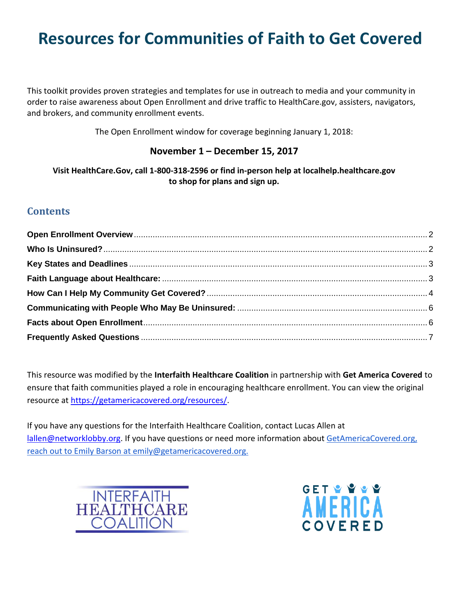# **Resources for Communities of Faith to Get Covered**

This toolkit provides proven strategies and templates for use in outreach to media and your community in order to raise awareness about Open Enrollment and drive traffic to HealthCare.gov, assisters, navigators, and brokers, and community enrollment events.

The Open Enrollment window for coverage beginning January 1, 2018:

### **November 1 – December 15, 2017**

**Visit HealthCare.Gov, call 1-800-318-2596 or find in-person help at localhelp.healthcare.gov to shop for plans and sign up.**

## **Contents**

This resource was modified by the **Interfaith Healthcare Coalition** in partnership with **Get America Covered** to ensure that faith communities played a role in encouraging healthcare enrollment. You can view the original resource at [https://getamericacovered.org/resources/.](https://getamericacovered.org/resources/)

If you have any questions for the Interfaith Healthcare Coalition, contact Lucas Allen at [lallen@networklobby.org.](mailto:lallen@networklobby.org) If you have questions or need more information abou[t GetAmericaCovered.org,](http://www.getamericacovered.org/) reach out to Emily Barson at emily@getamericacovered.org.



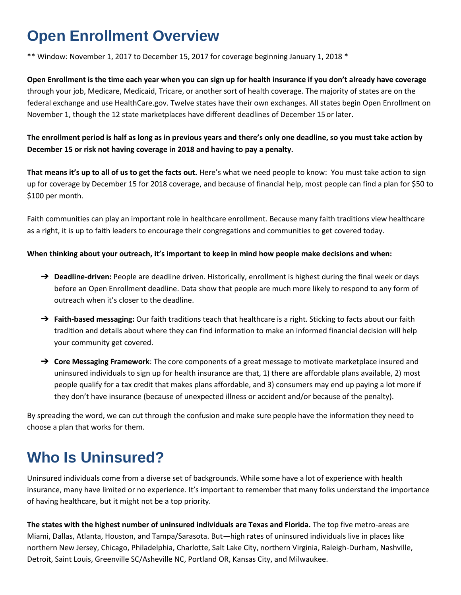## <span id="page-1-0"></span>**Open Enrollment Overview**

\*\* Window: November 1, 2017 to December 15, 2017 for coverage beginning January 1, 2018 \*

**Open Enrollment is the time each year when you can sign up for health insurance if you don't already have coverage** through your job, Medicare, Medicaid, Tricare, or another sort of health coverage. The majority of states are on the federal exchange and use HealthCare.gov. Twelve states have their own exchanges. All states begin Open Enrollment on November 1, though the 12 state marketplaces have different deadlines of December 15 or later.

**The enrollment period is half as long as in previous years and there's only one deadline, so you must take action by December 15 or risk not having coverage in 2018 and having to pay a penalty.**

That means it's up to all of us to get the facts out. Here's what we need people to know: You must take action to sign up for coverage by December 15 for 2018 coverage, and because of financial help, most people can find a plan for \$50 to \$100 per month.

Faith communities can play an important role in healthcare enrollment. Because many faith traditions view healthcare as a right, it is up to faith leaders to encourage their congregations and communities to get covered today.

### **When thinking about your outreach, it's important to keep in mind how people make decisions and when:**

- → **Deadline-driven:** People are deadline driven. Historically, enrollment is highest during the final week or days before an Open Enrollment deadline. Data show that people are much more likely to respond to any form of outreach when it's closer to the deadline.
- ➔ **Faith-based messaging:** Our faith traditions teach that healthcare is a right. Sticking to facts about our faith tradition and details about where they can find information to make an informed financial decision will help your community get covered.
- ➔ **Core Messaging Framework**: The core components of a great message to motivate marketplace insured and uninsured individuals to sign up for health insurance are that, 1) there are affordable plans available, 2) most people qualify for a tax credit that makes plans affordable, and 3) consumers may end up paying a lot more if they don't have insurance (because of unexpected illness or accident and/or because of the penalty).

By spreading the word, we can cut through the confusion and make sure people have the information they need to choose a plan that works for them.

## <span id="page-1-1"></span>**Who Is Uninsured?**

Uninsured individuals come from a diverse set of backgrounds. While some have a lot of experience with health insurance, many have limited or no experience. It's important to remember that many folks understand the importance of having healthcare, but it might not be a top priority.

**The states with the highest number of uninsured individuals are Texas and Florida.** The top five metro-areas are Miami, Dallas, Atlanta, Houston, and Tampa/Sarasota. But—high rates of uninsured individuals live in places like northern New Jersey, Chicago, Philadelphia, Charlotte, Salt Lake City, northern Virginia, Raleigh-Durham, Nashville, Detroit, Saint Louis, Greenville SC/Asheville NC, Portland OR, Kansas City, and Milwaukee.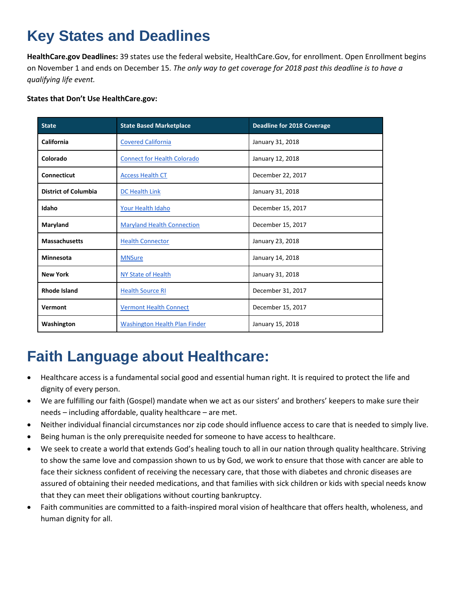## <span id="page-2-0"></span>**Key States and Deadlines**

**HealthCare.gov Deadlines:** 39 states use the federal website, HealthCare.Gov, for enrollment. Open Enrollment begins on November 1 and ends on December 15. *The only way to get coverage for 2018 past this deadline is to have a qualifying life event.*

### **States that Don't Use HealthCare.gov:**

| <b>State</b>                | <b>State Based Marketplace</b>       | Deadline for 2018 Coverage |
|-----------------------------|--------------------------------------|----------------------------|
| California                  | <b>Covered California</b>            | January 31, 2018           |
| Colorado                    | <b>Connect for Health Colorado</b>   | January 12, 2018           |
| Connecticut                 | <b>Access Health CT</b>              | December 22, 2017          |
| <b>District of Columbia</b> | DC Health Link                       | January 31, 2018           |
| Idaho                       | Your Health Idaho                    | December 15, 2017          |
| Maryland                    | <b>Maryland Health Connection</b>    | December 15, 2017          |
| <b>Massachusetts</b>        | <b>Health Connector</b>              | January 23, 2018           |
| <b>Minnesota</b>            | <b>MNSure</b>                        | January 14, 2018           |
| <b>New York</b>             | NY State of Health                   | January 31, 2018           |
| <b>Rhode Island</b>         | <b>Health Source RI</b>              | December 31, 2017          |
| Vermont                     | <b>Vermont Health Connect</b>        | December 15, 2017          |
| Washington                  | <b>Washington Health Plan Finder</b> | January 15, 2018           |

## <span id="page-2-1"></span>**Faith Language about Healthcare:**

- Healthcare access is a fundamental social good and essential human right. It is required to protect the life and dignity of every person.
- We are fulfilling our faith (Gospel) mandate when we act as our sisters' and brothers' keepers to make sure their needs – including affordable, quality healthcare – are met.
- Neither individual financial circumstances nor zip code should influence access to care that is needed to simply live.
- Being human is the only prerequisite needed for someone to have access to healthcare.
- We seek to create a world that extends God's healing touch to all in our nation through quality healthcare. Striving to show the same love and compassion shown to us by God, we work to ensure that those with cancer are able to face their sickness confident of receiving the necessary care, that those with diabetes and chronic diseases are assured of obtaining their needed medications, and that families with sick children or kids with special needs know that they can meet their obligations without courting bankruptcy.
- Faith communities are committed to a faith-inspired moral vision of healthcare that offers health, wholeness, and human dignity for all.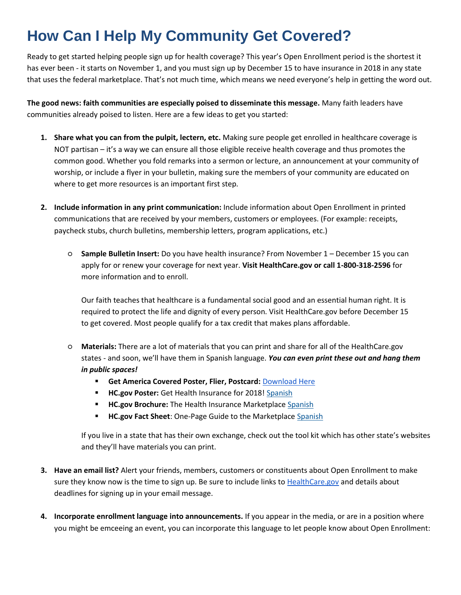## <span id="page-3-0"></span>**How Can I Help My Community Get Covered?**

Ready to get started helping people sign up for health coverage? This year's Open Enrollment period is the shortest it has ever been - it starts on November 1, and you must sign up by December 15 to have insurance in 2018 in any state that uses the federal marketplace. That's not much time, which means we need everyone's help in getting the word out.

**The good news: faith communities are especially poised to disseminate this message.** Many faith leaders have communities already poised to listen. Here are a few ideas to get you started:

- **1. Share what you can from the pulpit, lectern, etc.** Making sure people get enrolled in healthcare coverage is NOT partisan – it's a way we can ensure all those eligible receive health coverage and thus promotes the common good. Whether you fold remarks into a sermon or lecture, an announcement at your community of worship, or include a flyer in your bulletin, making sure the members of your community are educated on where to get more resources is an important first step.
- **2. Include information in any print communication:** Include information about Open Enrollment in printed communications that are received by your members, customers or employees. (For example: receipts, paycheck stubs, church bulletins, membership letters, program applications, etc.)
	- **Sample Bulletin Insert:** Do you have health insurance? From November 1 December 15 you can apply for or renew your coverage for next year. **Visit HealthCare.gov or call 1-800-318-2596** for more information and to enroll.

Our faith teaches that healthcare is a fundamental social good and an essential human right. It is required to protect the life and dignity of every person. Visit HealthCare.gov before December 15 to get covered. Most people qualify for a tax credit that makes plans affordable.

- **Materials:** There are a lot of materials that you can print and share for all of the HealthCare.gov states - and soon, we'll have them in Spanish language. *You can even print these out and hang them in public spaces!*
	- **Get America Covered Poster, Flier, Postcard:** [Download Here](https://drive.google.com/open?id=0BwgGZnn-hpqDOVg5RmlpRzdTSjA)
	- **HC.gov Poster:** Get Health Insurance for 2018! [Spanish](https://marketplace.cms.gov/outreach-and-education/get-health-insurance-2018-spanish.pdf)
	- **HC.gov Brochure:** The Health Insurance Marketplace [Spanish](https://marketplace.cms.gov/outreach-and-education/about-the-marketplace-spanish.pdf)
	- **HC.gov Fact Sheet:** One-Page Guide to the Marketplac[e Spanish](https://marketplace.cms.gov/outreach-and-education/get-covered-a-one-page-guide-to-the-marketplace-spanish.pdf)

If you live in a state that has their own exchange, check out the tool kit which has other state's websites and they'll have materials you can print.

- **3. Have an email list?** Alert your friends, members, customers or constituents about Open Enrollment to make sure they know now is the time to sign up. Be sure to include links to **[HealthCare.gov](http://healthcare.gov/)** and details about deadlines for signing up in your email message.
- **4. Incorporate enrollment language into announcements.** If you appear in the media, or are in a position where you might be emceeing an event, you can incorporate this language to let people know about Open Enrollment: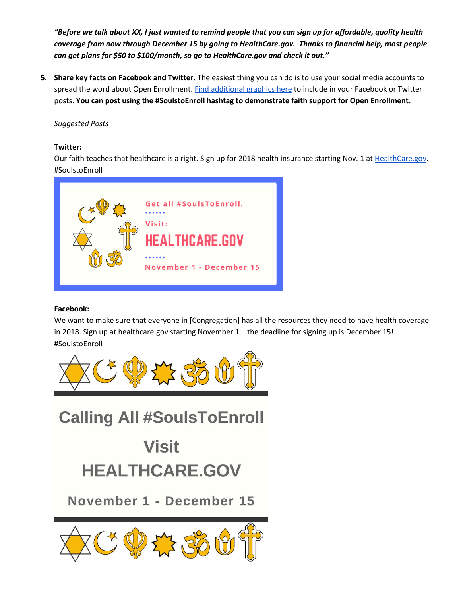*"Before we talk about XX, I just wanted to remind people that you can sign up for affordable, quality health coverage from now through December 15 by going to HealthCare.gov. Thanks to financial help, most people can get plans for \$50 to \$100/month, so go to HealthCare.gov and check it out."* 

**5. Share key facts on Facebook and Twitter.** The easiest thing you can do is to use your social media accounts to spread the word about Open Enrollment[. Find additional graphics here](https://drive.google.com/drive/u/1/folders/0BwWzJPQpHwx9SFp2NGVkUlhCRzg) to include in your Facebook or Twitter posts. **You can post using the #SoulstoEnroll hashtag to demonstrate faith support for Open Enrollment.**

### *Suggested Posts*

### **Twitter:**

Our faith teaches that healthcare is a right. Sign up for 2018 health insurance starting Nov. 1 a[t HealthCare.gov.](https://l.facebook.com/l.php?u=https%3A%2F%2Fwww.healthcare.gov%2F&h=ATNOviBQgq4XWKODd7nM6G2kddEM1yyKUy6su3LDAaJsShj4ZvYs1m7BjrCO9zdsUsH3zF4RGydEWTxDVNnnaN05zEA-LMfpPzt6RWAIEyV9-ZEKGvhGoUTfbwAGjUeUKB4dDfPGBO5UW3_hHA) #SoulstoEnroll



### **Facebook:**

We want to make sure that everyone in [Congregation] has all the resources they need to have health coverage in 2018. Sign up at healthcare.gov starting November 1 – the deadline for signing up is December 15! #SoulstoEnroll



**Calling All #SoulsToEnroll** 

# **Visit HEALTHCARE.GOV**

November 1 - December 15

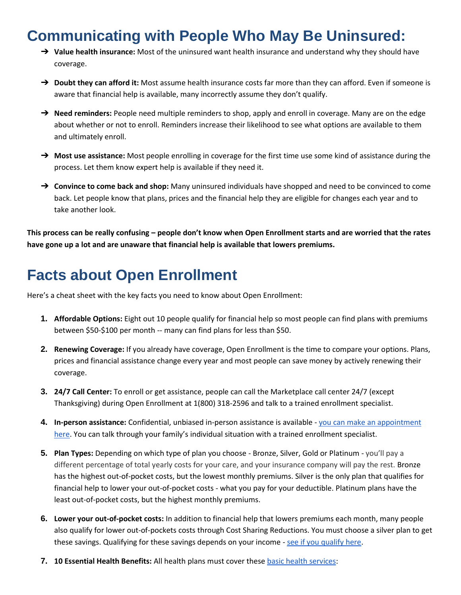## <span id="page-5-0"></span>**Communicating with People Who May Be Uninsured:**

- ➔ **Value health insurance:** Most of the uninsured want health insurance and understand why they should have coverage.
- → **Doubt they can afford it:** Most assume health insurance costs far more than they can afford. Even if someone is aware that financial help is available, many incorrectly assume they don't qualify.
- → **Need reminders:** People need multiple reminders to shop, apply and enroll in coverage. Many are on the edge about whether or not to enroll. Reminders increase their likelihood to see what options are available to them and ultimately enroll.
- ➔ **Most use assistance:** Most people enrolling in coverage for the first time use some kind of assistance during the process. Let them know expert help is available if they need it.
- ➔ **Convince to come back and shop:** Many uninsured individuals have shopped and need to be convinced to come back. Let people know that plans, prices and the financial help they are eligible for changes each year and to take another look.

**This process can be really confusing – people don't know when Open Enrollment starts and are worried that the rates have gone up a lot and are unaware that financial help is available that lowers premiums.** 

## <span id="page-5-1"></span>**Facts about Open Enrollment**

Here's a cheat sheet with the key facts you need to know about Open Enrollment:

- **1. Affordable Options:** Eight out 10 people qualify for financial help so most people can find plans with premiums between \$50-\$100 per month -- many can find plans for less than \$50.
- **2. Renewing Coverage:** If you already have coverage, Open Enrollment is the time to compare your options. Plans, prices and financial assistance change every year and most people can save money by actively renewing their coverage.
- **3. 24/7 Call Center:** To enroll or get assistance, people can call the Marketplace call center 24/7 (except Thanksgiving) during Open Enrollment at 1(800) 318-2596 and talk to a trained enrollment specialist.
- **4. In-person assistance:** Confidential, unbiased in-person assistance is available [you can make an appointment](https://connector.getcoveredamerica.org/en-us/widget/?original=/)  [here](https://connector.getcoveredamerica.org/en-us/widget/?original=/). You can talk through your family's individual situation with a trained enrollment specialist.
- **5. Plan Types:** Depending on which type of plan you choose Bronze, Silver, Gold or Platinum you'll pay a different percentage of total yearly costs for your care, and your insurance company will pay the rest. Bronze has the highest out-of-pocket costs, but the lowest monthly premiums. Silver is the only plan that qualifies for financial help to lower your out-of-pocket costs - what you pay for your deductible. Platinum plans have the least out-of-pocket costs, but the highest monthly premiums.
- **6. Lower your out-of-pocket costs:** In addition to financial help that lowers premiums each month, many people also qualify for lower out-of-pockets costs through Cost Sharing Reductions. You must choose a silver plan to get these savings. Qualifying for these savings depends on your income - [see if you qualify here.](https://www.healthcare.gov/lower-costs/)
- **7. 10 Essential Health Benefits:** All health plans must cover thes[e basic health services:](https://tcf.org/content/commentary/refresher-acas-basic-health-benefits-matter/?utm_source=newsletter&utm_medium=email&utm_campaign=newsletter_axiosvitals)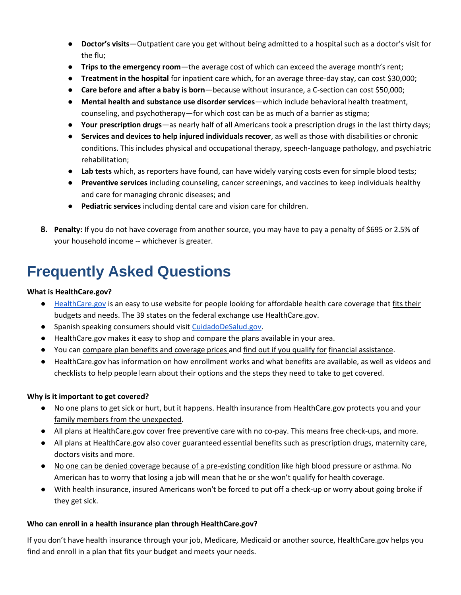- **Doctor's visits**—Outpatient care you get without being admitted to a hospital such as a doctor's visit for the flu;
- **Trips to the emergency room**—the average cost of which can exceed the average month's rent;
- **Treatment in the hospital** for inpatient care which, for an average three-day stay, can cost \$30,000;
- **Care before and after a baby is born**—because without insurance, a C-section can cost \$50,000;
- **Mental health and substance use disorder services**—which include behavioral health treatment, counseling, and psychotherapy—for which cost can be as much of a barrier as stigma;
- **Your prescription drugs**—as nearly half of all Americans took a prescription drugs in the last thirty days;
- **Services and devices to help injured individuals recover**, as well as those with disabilities or chronic conditions. This includes physical and occupational therapy, speech-language pathology, and psychiatric rehabilitation;
- **Lab tests** which, as reporters have found, can have widely varying costs even for simple blood tests;
- **Preventive services** including counseling, cancer screenings, and vaccines to keep individuals healthy and care for managing chronic diseases; and
- **Pediatric services** including dental care and vision care for children.
- **8. Penalty:** If you do not have coverage from another source, you may have to pay a penalty of \$695 or 2.5% of your household income -- whichever is greater.

## <span id="page-6-0"></span>**Frequently Asked Questions**

### **What is HealthCare.gov?**

- [HealthCare.gov](http://healthcare.gov/) is an easy to use website for people looking for affordable health care coverage that fits their budgets and needs. The 39 states on the federal exchange use HealthCare.gov.
- Spanish speaking consumers should visi[t](https://www.cuidadodesalud.gov/es/) [CuidadoDeSalud.gov.](https://www.cuidadodesalud.gov/es/)
- HealthCare.gov makes it easy to shop and compare the plans available in your area.
- You can compare plan benefits and coverage prices and find out if you qualify for financial assistance.
- HealthCare.gov has information on how enrollment works and what benefits are available, as well as videos and checklists to help people learn about their options and the steps they need to take to get covered.

### **Why is it important to get covered?**

- No one plans to get sick or hurt, but it happens. Health insurance from HealthCare.gov protects you and your family members from the unexpected.
- All plans at HealthCare.gov cover free preventive care with no co-pay. This means free check-ups, and more.
- All plans at HealthCare.gov also cover guaranteed essential benefits such as prescription drugs, maternity care, doctors visits and more.
- No one can be denied coverage because of a pre-existing condition like high blood pressure or asthma. No American has to worry that losing a job will mean that he or she won't qualify for health coverage.
- With health insurance, insured Americans won't be forced to put off a check-up or worry about going broke if they get sick.

### **Who can enroll in a health insurance plan through HealthCare.gov?**

If you don't have health insurance through your job, Medicare, Medicaid or another source, HealthCare.gov helps you find and enroll in a plan that fits your budget and meets your needs.